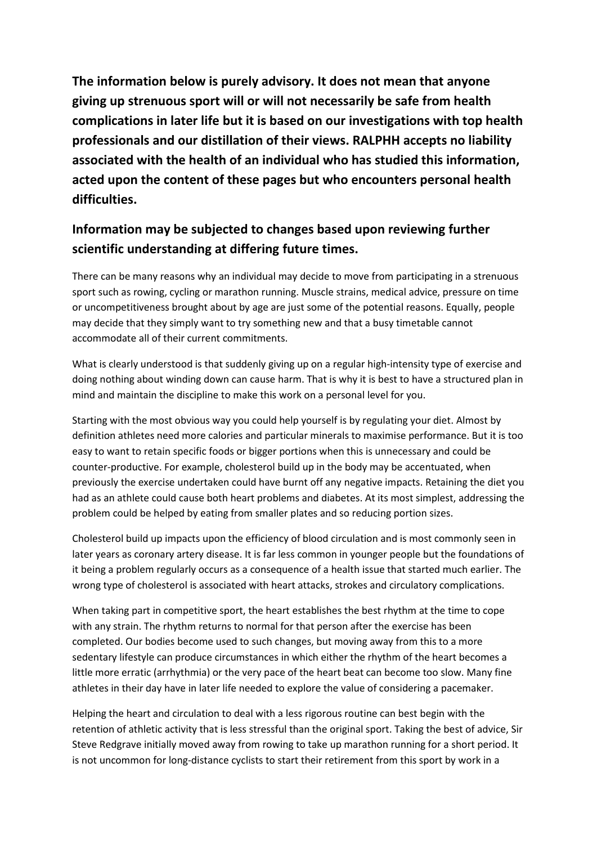**The information below is purely advisory. It does not mean that anyone giving up strenuous sport will or will not necessarily be safe from health complications in later life but it is based on our investigations with top health professionals and our distillation of their views. RALPHH accepts no liability associated with the health of an individual who has studied this information, acted upon the content of these pages but who encounters personal health difficulties.** 

## **Information may be subjected to changes based upon reviewing further scientific understanding at differing future times.**

There can be many reasons why an individual may decide to move from participating in a strenuous sport such as rowing, cycling or marathon running. Muscle strains, medical advice, pressure on time or uncompetitiveness brought about by age are just some of the potential reasons. Equally, people may decide that they simply want to try something new and that a busy timetable cannot accommodate all of their current commitments.

What is clearly understood is that suddenly giving up on a regular high-intensity type of exercise and doing nothing about winding down can cause harm. That is why it is best to have a structured plan in mind and maintain the discipline to make this work on a personal level for you.

Starting with the most obvious way you could help yourself is by regulating your diet. Almost by definition athletes need more calories and particular minerals to maximise performance. But it is too easy to want to retain specific foods or bigger portions when this is unnecessary and could be counter-productive. For example, cholesterol build up in the body may be accentuated, when previously the exercise undertaken could have burnt off any negative impacts. Retaining the diet you had as an athlete could cause both heart problems and diabetes. At its most simplest, addressing the problem could be helped by eating from smaller plates and so reducing portion sizes.

Cholesterol build up impacts upon the efficiency of blood circulation and is most commonly seen in later years as coronary artery disease. It is far less common in younger people but the foundations of it being a problem regularly occurs as a consequence of a health issue that started much earlier. The wrong type of cholesterol is associated with heart attacks, strokes and circulatory complications.

When taking part in competitive sport, the heart establishes the best rhythm at the time to cope with any strain. The rhythm returns to normal for that person after the exercise has been completed. Our bodies become used to such changes, but moving away from this to a more sedentary lifestyle can produce circumstances in which either the rhythm of the heart becomes a little more erratic (arrhythmia) or the very pace of the heart beat can become too slow. Many fine athletes in their day have in later life needed to explore the value of considering a pacemaker.

Helping the heart and circulation to deal with a less rigorous routine can best begin with the retention of athletic activity that is less stressful than the original sport. Taking the best of advice, Sir Steve Redgrave initially moved away from rowing to take up marathon running for a short period. It is not uncommon for long-distance cyclists to start their retirement from this sport by work in a